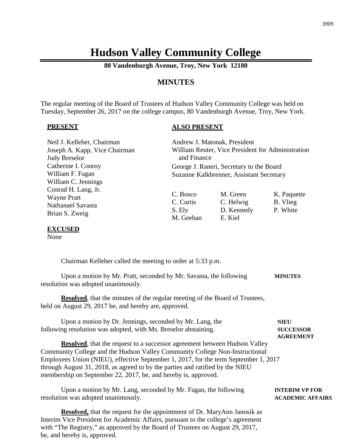# **Hudson Valley Community College**

**80 Vandenburgh Avenue, Troy, New York 12180**

## **MINUTES**

The regular meeting of the Board of Trustees of Hudson Valley Community College was held on Tuesday, September 26, 2017 on the college campus, 80 Vandenburgh Avenue, Troy, New York.

#### **PRESENT**

#### **ALSO PRESENT**

| Neil J. Kelleher, Chairman<br>Joseph A. Kapp, Vice Chairman<br><b>Judy Breselor</b>                                                                                                                                                                                                                                                                                                                        |                                                                                      | Andrew J. Matonak, President<br>William Reuter, Vice President for Administration<br>and Finance |                                                     |  |
|------------------------------------------------------------------------------------------------------------------------------------------------------------------------------------------------------------------------------------------------------------------------------------------------------------------------------------------------------------------------------------------------------------|--------------------------------------------------------------------------------------|--------------------------------------------------------------------------------------------------|-----------------------------------------------------|--|
| Catherine I. Conroy<br>William F. Fagan<br>William C. Jennings                                                                                                                                                                                                                                                                                                                                             | George J. Raneri, Secretary to the Board<br>Suzanne Kalkbrenner, Assistant Secretary |                                                                                                  |                                                     |  |
| Conrad H. Lang, Jr.<br><b>Wayne Pratt</b><br>Nathanael Savasta<br>Brian S. Zweig                                                                                                                                                                                                                                                                                                                           | C. Bosco<br>C. Curtis<br>S. Ely<br>M. Geehan                                         | M. Green<br>C. Helwig<br>D. Kennedy<br>E. Kiel                                                   | K. Paquette<br>B. Vlieg<br>P. White                 |  |
| <b>EXCUSED</b><br>None                                                                                                                                                                                                                                                                                                                                                                                     |                                                                                      |                                                                                                  |                                                     |  |
| Chairman Kelleher called the meeting to order at 5:33 p.m.                                                                                                                                                                                                                                                                                                                                                 |                                                                                      |                                                                                                  |                                                     |  |
| Upon a motion by Mr. Pratt, seconded by Mr. Savasta, the following<br>resolution was adopted unanimously.                                                                                                                                                                                                                                                                                                  |                                                                                      |                                                                                                  | <b>MINUTES</b>                                      |  |
| <b>Resolved</b> , that the minutes of the regular meeting of the Board of Trustees,<br>held on August 29, 2017 be, and hereby are, approved.                                                                                                                                                                                                                                                               |                                                                                      |                                                                                                  |                                                     |  |
| Upon a motion by Dr. Jennings, seconded by Mr. Lang, the<br>following resolution was adopted, with Ms. Breselor abstaining.                                                                                                                                                                                                                                                                                |                                                                                      |                                                                                                  | <b>NIEU</b><br><b>SUCCESSOR</b><br><b>AGREEMENT</b> |  |
| <b>Resolved</b> , that the request to a successor agreement between Hudson Valley<br>Community College and the Hudson Valley Community College Non-Instructional<br>Employees Union (NIEU), effective September 1, 2017, for the term September 1, 2017<br>through August 31, 2018, as agreed to by the parties and ratified by the NIEU<br>membership on September 22, 2017, be, and hereby is, approved. |                                                                                      |                                                                                                  |                                                     |  |

Upon a motion by Mr. Lang, seconded by Mr. Fagan, the following **INTERIM VP FOR** resolution was adopted unanimously. **ACADEMIC AFFAIRS**

**Resolved,** that the request for the appointment of Dr. MaryAnn Janosik as Interim Vice President for Academic Affairs, pursuant to the college's agreement with "The Registry," as approved by the Board of Trustees on August 29, 2017, be, and hereby is, approved.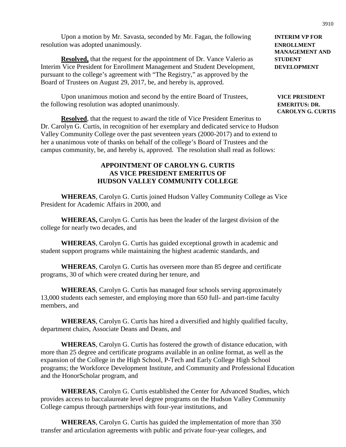Upon a motion by Mr. Savasta, seconded by Mr. Fagan, the following **INTERIM VP FOR** resolution was adopted unanimously. **ENROLLMENT**

**Resolved,** that the request for the appointment of Dr. Vance Valerio as **STUDENT** Interim Vice President for Enrollment Management and Student Development, **DEVELOPMENT** pursuant to the college's agreement with "The Registry," as approved by the Board of Trustees on August 29, 2017, be, and hereby is, approved.

Upon unanimous motion and second by the entire Board of Trustees, **VICE PRESIDENT** the following resolution was adopted unanimously. **EMERITUS: DR.**

**Resolved**, that the request to award the title of Vice President Emeritus to Dr. Carolyn G. Curtis, in recognition of her exemplary and dedicated service to Hudson Valley Community College over the past seventeen years (2000-2017) and to extend to her a unanimous vote of thanks on behalf of the college's Board of Trustees and the campus community, be, and hereby is, approved. The resolution shall read as follows:

## **APPOINTMENT OF CAROLYN G. CURTIS AS VICE PRESIDENT EMERITUS OF HUDSON VALLEY COMMUNITY COLLEGE**

**WHEREAS**, Carolyn G. Curtis joined Hudson Valley Community College as Vice President for Academic Affairs in 2000, and

**WHEREAS,** Carolyn G. Curtis has been the leader of the largest division of the college for nearly two decades, and

**WHEREAS**, Carolyn G. Curtis has guided exceptional growth in academic and student support programs while maintaining the highest academic standards, and

**WHEREAS**, Carolyn G. Curtis has overseen more than 85 degree and certificate programs, 30 of which were created during her tenure, and

**WHEREAS**, Carolyn G. Curtis has managed four schools serving approximately 13,000 students each semester, and employing more than 650 full- and part-time faculty members, and

**WHEREAS**, Carolyn G. Curtis has hired a diversified and highly qualified faculty, department chairs, Associate Deans and Deans, and

**WHEREAS**, Carolyn G. Curtis has fostered the growth of distance education, with more than 25 degree and certificate programs available in an online format, as well as the expansion of the College in the High School, P-Tech and Early College High School programs; the Workforce Development Institute, and Community and Professional Education and the HonorScholar program, and

**WHEREAS**, Carolyn G. Curtis established the Center for Advanced Studies, which provides access to baccalaureate level degree programs on the Hudson Valley Community College campus through partnerships with four-year institutions, and

**WHEREAS**, Carolyn G. Curtis has guided the implementation of more than 350 transfer and articulation agreements with public and private four-year colleges, and

**MANAGEMENT AND**

**CAROLYN G. CURTIS**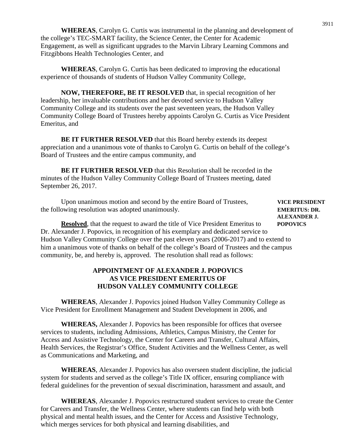**WHEREAS**, Carolyn G. Curtis was instrumental in the planning and development of the college's TEC-SMART facility, the Science Center, the Center for Academic Engagement, as well as significant upgrades to the Marvin Library Learning Commons and Fitzgibbons Health Technologies Center, and

**WHEREAS**, Carolyn G. Curtis has been dedicated to improving the educational experience of thousands of students of Hudson Valley Community College,

**NOW, THEREFORE, BE IT RESOLVED** that, in special recognition of her leadership, her invaluable contributions and her devoted service to Hudson Valley Community College and its students over the past seventeen years, the Hudson Valley Community College Board of Trustees hereby appoints Carolyn G. Curtis as Vice President Emeritus, and

**BE IT FURTHER RESOLVED** that this Board hereby extends its deepest appreciation and a unanimous vote of thanks to Carolyn G. Curtis on behalf of the college's Board of Trustees and the entire campus community, and

**BE IT FURTHER RESOLVED** that this Resolution shall be recorded in the minutes of the Hudson Valley Community College Board of Trustees meeting, dated September 26, 2017.

Upon unanimous motion and second by the entire Board of Trustees, **VICE PRESIDENT** the following resolution was adopted unanimously. **EMERITUS: DR.**

**ALEXANDER J.**

**Resolved**, that the request to award the title of Vice President Emeritus to POPOVICS Dr. Alexander J. Popovics, in recognition of his exemplary and dedicated service to Hudson Valley Community College over the past eleven years (2006-2017) and to extend to him a unanimous vote of thanks on behalf of the college's Board of Trustees and the campus community, be, and hereby is, approved. The resolution shall read as follows:

## **APPOINTMENT OF ALEXANDER J. POPOVICS AS VICE PRESIDENT EMERITUS OF HUDSON VALLEY COMMUNITY COLLEGE**

**WHEREAS**, Alexander J. Popovics joined Hudson Valley Community College as Vice President for Enrollment Management and Student Development in 2006, and

**WHEREAS,** Alexander J. Popovics has been responsible for offices that oversee services to students, including Admissions, Athletics, Campus Ministry, the Center for Access and Assistive Technology, the Center for Careers and Transfer, Cultural Affairs, Health Services, the Registrar's Office, Student Activities and the Wellness Center, as well as Communications and Marketing, and

**WHEREAS**, Alexander J. Popovics has also overseen student discipline, the judicial system for students and served as the college's Title IX officer, ensuring compliance with federal guidelines for the prevention of sexual discrimination, harassment and assault, and

**WHEREAS**, Alexander J. Popovics restructured student services to create the Center for Careers and Transfer, the Wellness Center, where students can find help with both physical and mental health issues, and the Center for Access and Assistive Technology, which merges services for both physical and learning disabilities, and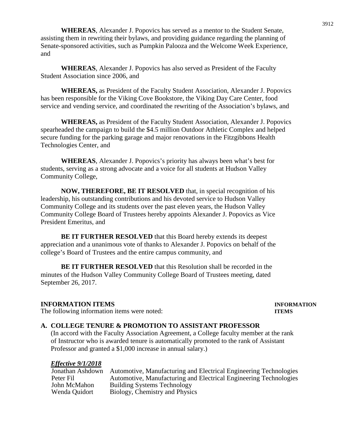**WHEREAS**, Alexander J. Popovics has served as a mentor to the Student Senate, assisting them in rewriting their bylaws, and providing guidance regarding the planning of Senate-sponsored activities, such as Pumpkin Palooza and the Welcome Week Experience, and

**WHEREAS**, Alexander J. Popovics has also served as President of the Faculty Student Association since 2006, and

**WHEREAS,** as President of the Faculty Student Association, Alexander J. Popovics has been responsible for the Viking Cove Bookstore, the Viking Day Care Center, food service and vending service, and coordinated the rewriting of the Association's bylaws, and

**WHEREAS,** as President of the Faculty Student Association, Alexander J. Popovics spearheaded the campaign to build the \$4.5 million Outdoor Athletic Complex and helped secure funding for the parking garage and major renovations in the Fitzgibbons Health Technologies Center, and

**WHEREAS**, Alexander J. Popovics's priority has always been what's best for students, serving as a strong advocate and a voice for all students at Hudson Valley Community College,

**NOW, THEREFORE, BE IT RESOLVED** that, in special recognition of his leadership, his outstanding contributions and his devoted service to Hudson Valley Community College and its students over the past eleven years, the Hudson Valley Community College Board of Trustees hereby appoints Alexander J. Popovics as Vice President Emeritus, and

**BE IT FURTHER RESOLVED** that this Board hereby extends its deepest appreciation and a unanimous vote of thanks to Alexander J. Popovics on behalf of the college's Board of Trustees and the entire campus community, and

**BE IT FURTHER RESOLVED** that this Resolution shall be recorded in the minutes of the Hudson Valley Community College Board of Trustees meeting, dated September 26, 2017.

#### **INFORMATION ITEMS INFORMATION**

#### The following information items were noted: **ITEMS**

#### **A. COLLEGE TENURE & PROMOTION TO ASSISTANT PROFESSOR**

(In accord with the Faculty Association Agreement, a College faculty member at the rank of Instructor who is awarded tenure is automatically promoted to the rank of Assistant Professor and granted a \$1,000 increase in annual salary.)

#### *Effective 9/1/2018*

| Jonathan Ashdown | Automotive, Manufacturing and Electrical Engineering Technologies |
|------------------|-------------------------------------------------------------------|
| Peter Fil        | Automotive, Manufacturing and Electrical Engineering Technologies |
| John McMahon     | <b>Building Systems Technology</b>                                |
| Wenda Ouidort    | Biology, Chemistry and Physics                                    |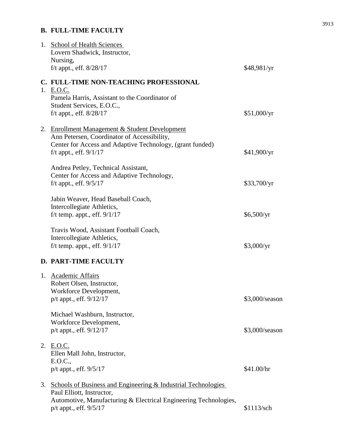## **B. FULL-TIME FACULTY**

|    | 1. School of Health Sciences<br>Lovern Shadwick, Instructor,     |                |
|----|------------------------------------------------------------------|----------------|
|    | Nursing,                                                         |                |
|    | f/t appt., eff. $8/28/17$                                        | \$48,981/yr    |
|    | C. FULL-TIME NON-TEACHING PROFESSIONAL                           |                |
|    | 1. E.O.C.                                                        |                |
|    | Pamela Harris, Assistant to the Coordinator of                   |                |
|    | Student Services, E.O.C.,                                        |                |
|    | f/t appt., eff. $8/28/17$                                        | \$51,000/yr    |
|    | 2. Enrollment Management & Student Development                   |                |
|    | Ann Petersen, Coordinator of Accessibility,                      |                |
|    | Center for Access and Adaptive Technology, (grant funded)        |                |
|    | f/t appt., eff. $9/1/17$                                         | \$41,900/yr    |
|    |                                                                  |                |
|    | Andrea Petley, Technical Assistant,                              |                |
|    | Center for Access and Adaptive Technology,                       |                |
|    | f/t appt., eff. $9/5/17$                                         | \$33,700/yr    |
|    | Jabin Weaver, Head Baseball Coach,                               |                |
|    | Intercollegiate Athletics,                                       |                |
|    | f/t temp. appt., eff. $9/1/17$                                   | \$6,500/yr     |
|    |                                                                  |                |
|    | Travis Wood, Assistant Football Coach,                           |                |
|    | Intercollegiate Athletics,                                       |                |
|    | f/t temp. appt., eff. $9/1/17$                                   | \$3,000/yr     |
|    | D. PART-TIME FACULTY                                             |                |
|    | 1. Academic Affairs                                              |                |
|    | Robert Olsen, Instructor,                                        |                |
|    | Workforce Development,                                           |                |
|    | $p/t$ appt., eff. $9/12/17$                                      | \$3,000/season |
|    |                                                                  |                |
|    | Michael Washburn, Instructor,                                    |                |
|    | Workforce Development,                                           |                |
|    | p/t appt., eff. 9/12/17                                          | \$3,000/season |
| 2. | E.O.C.                                                           |                |
|    | Ellen Mall John, Instructor,                                     |                |
|    | E.O.C.,                                                          |                |
|    | p/t appt., eff. 9/5/17                                           | \$41.00/hr     |
|    |                                                                  |                |
|    | 3. Schools of Business and Engineering & Industrial Technologies |                |
|    | Paul Elliott, Instructor,                                        |                |
|    | Automotive, Manufacturing & Electrical Engineering Technologies, |                |
|    | p/t appt., eff. 9/5/17                                           | \$1113/sch     |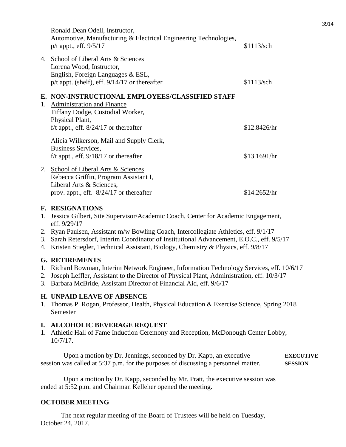|    | Ronald Dean Odell, Instructor,<br>Automotive, Manufacturing & Electrical Engineering Technologies,<br>$p/t$ appt., eff. $9/5/17$ | \$1113/sch   |
|----|----------------------------------------------------------------------------------------------------------------------------------|--------------|
|    | 4. School of Liberal Arts & Sciences                                                                                             |              |
|    | Lorena Wood, Instructor,                                                                                                         |              |
|    | English, Foreign Languages & ESL,                                                                                                |              |
|    | $p/t$ appt. (shelf), eff. $9/14/17$ or thereafter                                                                                | \$1113/sch   |
| 1. | E. NON-INSTRUCTIONAL EMPLOYEES/CLASSIFIED STAFF<br>Administration and Finance<br>Tiffany Dodge, Custodial Worker,                |              |
|    | Physical Plant,                                                                                                                  |              |
|    | f/t appt., eff. $8/24/17$ or thereafter                                                                                          | \$12.8426/hr |
|    | Alicia Wilkerson, Mail and Supply Clerk,<br>Business Services,                                                                   |              |
|    | f/t appt., eff. $9/18/17$ or thereafter                                                                                          | \$13.1691/hr |
| 2. | School of Liberal Arts & Sciences<br>Rebecca Griffin, Program Assistant I,<br>Liberal Arts & Sciences,                           |              |
|    | prov. appt., eff. $8/24/17$ or thereafter                                                                                        | \$14.2652/hr |
|    |                                                                                                                                  |              |

## **F. RESIGNATIONS**

- 1. Jessica Gilbert, Site Supervisor/Academic Coach, Center for Academic Engagement, eff. 9/29/17
- 2. Ryan Paulsen, Assistant m/w Bowling Coach, Intercollegiate Athletics, eff. 9/1/17
- 3. Sarah Retersdorf, Interim Coordinator of Institutional Advancement, E.O.C., eff. 9/5/17
- 4. Kristen Stiegler, Technical Assistant, Biology, Chemistry & Physics, eff. 9/8/17

## **G. RETIREMENTS**

- 1. Richard Bowman, Interim Network Engineer, Information Technology Services, eff. 10/6/17
- 2. Joseph Leffler, Assistant to the Director of Physical Plant, Administration, eff. 10/3/17
- 3. Barbara McBride, Assistant Director of Financial Aid, eff. 9/6/17

## **H. UNPAID LEAVE OF ABSENCE**

1. Thomas P. Rogan, Professor, Health, Physical Education & Exercise Science, Spring 2018 Semester

## **I. ALCOHOLIC BEVERAGE REQUEST**

1. Athletic Hall of Fame Induction Ceremony and Reception, McDonough Center Lobby, 10/7/17.

Upon a motion by Dr. Jennings, seconded by Dr. Kapp, an executive **EXECUTIVE** session was called at 5:37 p.m. for the purposes of discussing a personnel matter. **SESSION**

Upon a motion by Dr. Kapp, seconded by Mr. Pratt, the executive session was ended at 5:52 p.m. and Chairman Kelleher opened the meeting.

## **OCTOBER MEETING**

The next regular meeting of the Board of Trustees will be held on Tuesday, October 24, 2017.